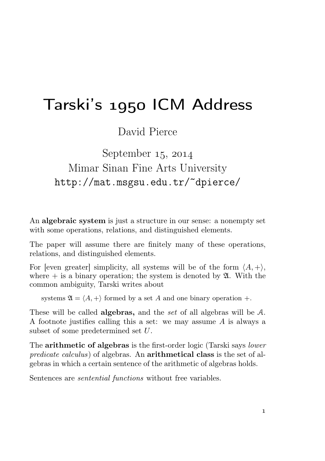# Tarski's ICM Address

David Pierce

September  $15, 2014$ Mimar Sinan Fine Arts University http://mat.msgsu.edu.tr/~dpierce/

An algebraic system is just a structure in our sense: a nonempty set with some operations, relations, and distinguished elements.

The paper will assume there are finitely many of these operations, relations, and distinguished elements.

For [even greater] simplicity, all systems will be of the form  $\langle A, + \rangle$ , where  $+$  is a binary operation; the system is denoted by  $\mathfrak{A}$ . With the common ambiguity, Tarski writes about

systems  $\mathfrak{A} = \langle A, + \rangle$  formed by a set A and one binary operation +.

These will be called **algebras**, and the set of all algebras will be A. A footnote justifies calling this a set: we may assume A is always a subset of some predetermined set U.

The **arithmetic of algebras** is the first-order logic (Tarski says *lower* predicate calculus) of algebras. An arithmetical class is the set of algebras in which a certain sentence of the arithmetic of algebras holds.

Sentences are sentential functions without free variables.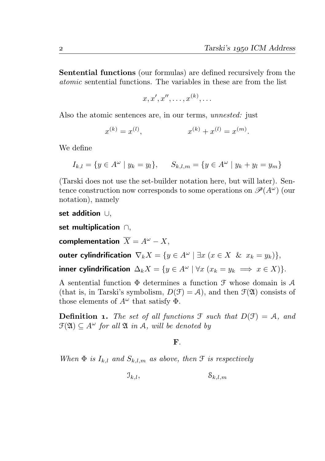Sentential functions (our formulas) are defined recursively from the atomic sentential functions. The variables in these are from the list

$$
x, x', x'', \ldots, x^{(k)}, \ldots
$$

Also the atomic sentences are, in our terms, *unnested*: just

$$
x^{(k)} = x^{(l)}, \qquad x^{(k)} + x^{(l)} = x^{(m)}.
$$

We define

$$
I_{k,l} = \{ y \in A^{\omega} \mid y_k = y_l \}, \qquad S_{k,l,m} = \{ y \in A^{\omega} \mid y_k + y_l = y_m \}
$$

(Tarski does not use the set-builder notation here, but will later). Sentence construction now corresponds to some operations on  $\mathscr{P}(A^{\omega})$  (our notation), namely

set addition ∪,

set multiplication ∩,

complementation  $\overline{X} = A^{\omega} - X$ ,

outer cylindrification  $\nabla_k X = \{y \in A^\omega \mid \exists x \ (x \in X \ \& \ x_k = y_k)\},\$ 

inner cylindrification  $\Delta_k X = \{y \in A^\omega \mid \forall x \ (x_k = y_k \implies x \in X)\}.$ 

A sentential function  $\Phi$  determines a function  $\mathcal F$  whose domain is  $\mathcal A$ (that is, in Tarski's symbolism,  $D(\mathcal{F}) = \mathcal{A}$ ), and then  $\mathcal{F}(\mathfrak{A})$  consists of those elements of  $A^{\omega}$  that satisfy  $\Phi$ .

**Definition 1.** The set of all functions  $\mathcal{F}$  such that  $D(\mathcal{F}) = \mathcal{A}$ , and  $\mathfrak{F}(\mathfrak{A}) \subset A^{\omega}$  for all  $\mathfrak{A}$  in A, will be denoted by

## F.

When  $\Phi$  is  $I_{k,l}$  and  $S_{k,l,m}$  as above, then  $\mathcal F$  is respectively

 $\mathfrak{I}_{k,l}$ ,  $\mathfrak{S}_{k,l,m}$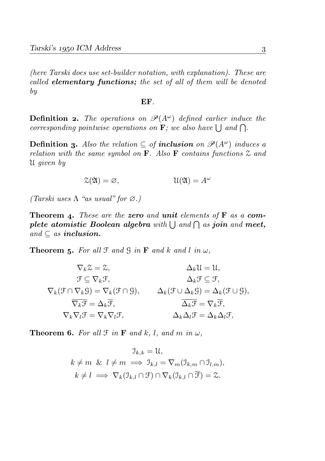(here Tarski does use set-builder notation, with explanation). These are called elementary functions; the set of all of them will be denoted by

#### EF.

**Definition 2.** The operations on  $\mathcal{P}(A^{\omega})$  defined earlier induce the corresponding pointwise operations on  $\mathbf{F}$ ; we also have  $\bigcup$  and  $\bigcap$ .

**Definition 3.** Also the relation ⊂ of **inclusion** on  $\mathscr{P}(A^{\omega})$  induces a relation with the same symbol on  $\bf{F}$ . Also  $\bf{F}$  contains functions  $\mathcal Z$  and U given by

$$
\mathcal{Z}(\mathfrak{A}) = \varnothing, \qquad \qquad \mathcal{U}(\mathfrak{A}) = A^{\omega}
$$

(Tarski uses  $\Lambda$  "as usual" for  $\varnothing$ .)

**Theorem 4.** These are the zero and unit elements of  $\bf{F}$  as a complete atomistic Boolean algebra with  $\bigcup$  and  $\bigcap$  as join and meet, and  $\subset$  as **inclusion.** 

**Theorem 5.** For all  $\mathcal{F}$  and  $\mathcal{G}$  in  $\mathbf{F}$  and k and l in  $\omega$ ,

$$
\nabla_k \mathcal{Z} = \mathcal{Z}, \qquad \Delta_k \mathcal{U} = \mathcal{U},
$$
  
\n
$$
\mathcal{F} \subseteq \nabla_k \mathcal{F}, \qquad \Delta_k \mathcal{F} \subseteq \mathcal{F},
$$
  
\n
$$
\nabla_k (\mathcal{F} \cap \nabla_k \mathcal{G}) = \nabla_k (\mathcal{F} \cap \mathcal{G}), \qquad \Delta_k (\mathcal{F} \cup \Delta_k \mathcal{G}) = \Delta_k (\mathcal{F} \cup \mathcal{G}),
$$
  
\n
$$
\overline{\nabla_k \mathcal{F}} = \Delta_k \overline{\mathcal{F}}, \qquad \overline{\Delta_k \mathcal{F}} = \nabla_k \overline{\mathcal{F}},
$$
  
\n
$$
\nabla_k \nabla_l \mathcal{F} = \nabla_k \nabla_l \mathcal{F}, \qquad \Delta_k \Delta_l \mathcal{F} = \Delta_k \Delta_l \mathcal{F},
$$

**Theorem 6.** For all  $\mathcal{F}$  in  $\mathbf{F}$  and  $k$ ,  $l$ , and  $m$  in  $\omega$ ,

$$
\mathbb{J}_{k,k} = \mathfrak{U},
$$
  
\n
$$
k \neq m \& l \neq m \implies \mathbb{J}_{k,l} = \nabla_m(\mathbb{J}_{k,m} \cap \mathbb{J}_{l,m}),
$$
  
\n
$$
k \neq l \implies \nabla_k(\mathbb{J}_{k,l} \cap \mathcal{F}) \cap \nabla_k(\mathbb{J}_{k,l} \cap \overline{\mathcal{F}}) = \mathbb{Z}.
$$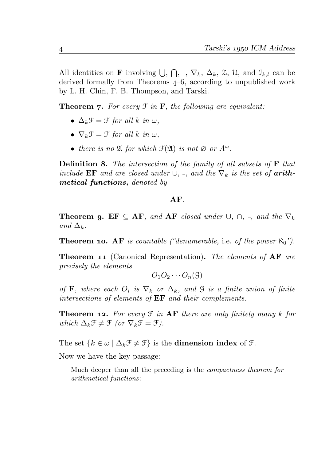All identities on **F** involving  $\bigcup$ ,  $\bigcap$ ,  $\bigcap$ ,  $\bigcap$ ,  $\bigcap$ ,  $\bigtriangleup$ <sub>k</sub>,  $\bigtriangleup$ <sub>k</sub>,  $\bigtriangleup$ <sub>k</sub>,  $\bigtriangleup$ <sub>k</sub>,  $\bigtriangleup$ <sub>k</sub>,  $\bigtriangleup$ <sub>k</sub>,  $\bigtriangleup$ <sub>k</sub> derived formally from Theorems  $4-6$ , according to unpublished work by L. H. Chin, F. B. Thompson, and Tarski.

**Theorem 7.** For every  $\mathcal{F}$  in  $\mathbf{F}$ , the following are equivalent:

- $\Delta_k \mathcal{F} = \mathcal{F}$  for all k in  $\omega$ ,
- $\nabla_k \mathcal{F} = \mathcal{F}$  for all k in  $\omega$ .
- there is no  $\mathfrak A$  for which  $\mathfrak F(\mathfrak A)$  is not  $\varnothing$  or  $A^\omega$ .

**Definition 8.** The intersection of the family of all subsets of  $\mathbf{F}$  that include EF and are closed under  $\cup$ ,  $\vdots$ , and the  $\nabla_k$  is the set of **arith**metical functions, denoted by

### AF.

**Theorem 9. EF**  $\subseteq$  **AF**, and **AF** closed under  $\cup$ ,  $\cap$ ,  $\subseteq$ , and the  $\nabla_k$ and  $\Delta_k$ .

**Theorem 10. AF** is countable ("denumerable, i.e. of the power  $\aleph_0$ ").

**Theorem 11** (Canonical Representation). The elements of  $AF$  are precisely the elements

$$
O_1O_2\cdots O_n(\mathcal{G})
$$

of **F**, where each  $O_i$  is  $\nabla_k$  or  $\Delta_k$ , and G is a finite union of finite intersections of elements of  $EF$  and their complements.

**Theorem 12.** For every  $\mathcal{F}$  in  $AF$  there are only finitely many k for which  $\Delta_k \mathcal{F} \neq \mathcal{F}$  (or  $\nabla_k \mathcal{F} = \mathcal{F}$ ).

The set  $\{k \in \omega \mid \Delta_k \mathcal{F} \neq \mathcal{F}\}\$ is the **dimension index** of  $\mathcal{F}$ .

Now we have the key passage:

Much deeper than all the preceding is the compactness theorem for arithmetical functions: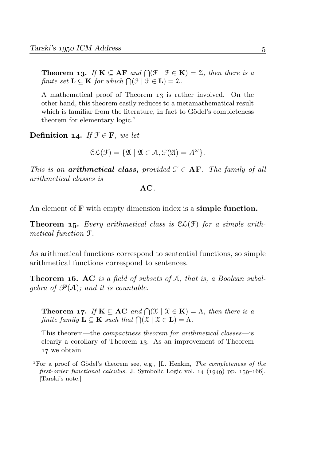**Theorem 13.** If  $K \subseteq AF$  and  $\bigcap (\mathcal{F} \mid \mathcal{F} \in K) = \mathcal{Z}$ , then there is a finite set  $\mathbf{L} \subseteq \mathbf{K}$  for which  $\bigcap (\mathcal{F} \mid \mathcal{F} \in \mathbf{L}) = \mathcal{Z}$ .

A mathematical proof of Theorem is rather involved. On the other hand, this theorem easily reduces to a metamathematical result which is familiar from the literature, in fact to Gödel's completeness theorem for elementary logic.

Definition 14. If  $\mathcal{F} \in \mathbf{F}$ , we let

$$
\mathcal{CL}(\mathcal{F}) = \{ \mathfrak{A} \mid \mathfrak{A} \in \mathcal{A}, \mathcal{F}(\mathfrak{A}) = A^{\omega} \}.
$$

This is an **arithmetical class,** provided  $\mathcal{F} \in \mathbf{AF}$ . The family of all arithmetical classes is

AC.

An element of **F** with empty dimension index is a **simple function.** 

**Theorem 15.** Every arithmetical class is  $CL(F)$  for a simple arithmetical function F.

As arithmetical functions correspond to sentential functions, so simple arithmetical functions correspond to sentences.

**Theorem 16. AC** is a field of subsets of A, that is, a Boolean subalgebra of  $\mathscr{P}(A)$ ; and it is countable.

**Theorem 17.** If  $\mathbf{K} \subseteq \mathbf{AC}$  and  $\bigcap (\mathcal{X} \mid \mathcal{X} \in \mathbf{K}) = \Lambda$ , then there is a finite family  $\mathbf{L} \subseteq \mathbf{K}$  such that  $\bigcap (\mathcal{X} \mid \mathcal{X} \in \mathbf{L}) = \Lambda$ .

This theorem—the compactness theorem for arithmetical classes—is clearly a corollary of Theorem 13. As an improvement of Theorem 17 we obtain

<sup>&</sup>lt;sup>1</sup>For a proof of Gödel's theorem see, e.g., [L. Henkin, *The completeness of the* first-order functional calculus, J. Symbolic Logic vol.  $14$  ( $1949$ ) pp.  $159-166$ . [Tarski's note.]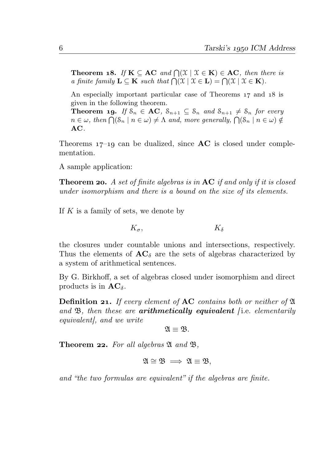**Theorem 18.** If  $K \subseteq AC$  and  $\bigcap (\mathcal{X} \mid \mathcal{X} \in K) \in AC$ , then there is a finite family  $\mathbf{L} \subseteq \mathbf{K}$  such that  $\bigcap (\mathcal{X} \mid \mathcal{X} \in \mathbf{L}) = \bigcap (\mathcal{X} \mid \mathcal{X} \in \mathbf{K}).$ 

An especially important particular case of Theorems  $17$  and  $18$  is given in the following theorem.

**Theorem 19.** If  $S_n \in AC$ ,  $S_{n+1} \subseteq S_n$  and  $S_{n+1} \neq S_n$  for every  $n \in \omega$ , then  $\bigcap (\mathcal{S}_n \mid n \in \omega) \neq \Lambda$  and, more generally,  $\bigcap (\mathcal{S}_n \mid n \in \omega) \notin \Lambda$ AC.

Theorems  $17$ –19 can be dualized, since  $AC$  is closed under complementation.

A sample application:

**Theorem 20.** A set of finite algebras is in  $AC$  if and only if it is closed under isomorphism and there is a bound on the size of its elements.

If  $K$  is a family of sets, we denote by

$$
K_{\sigma}, \qquad \qquad K_{\delta}
$$

the closures under countable unions and intersections, respectively. Thus the elements of  $AC_{\delta}$  are the sets of algebras characterized by a system of arithmetical sentences.

By G. Birkhoff, a set of algebras closed under isomorphism and direct products is in  $AC_{\delta}$ .

**Definition 21.** If every element of  $AC$  contains both or neither of  $\mathfrak A$ and  $\mathfrak{B}$ , then these are **arithmetically equivalent** (i.e. elementarily equivalent], and we write

$$
\mathfrak{A}\equiv \mathfrak{B}.
$$

**Theorem 22.** For all algebras  $\mathfrak{A}$  and  $\mathfrak{B}$ ,

$$
\mathfrak{A}\cong\mathfrak{B}\implies\mathfrak{A}\equiv\mathfrak{B},
$$

and "the two formulas are equivalent" if the algebras are finite.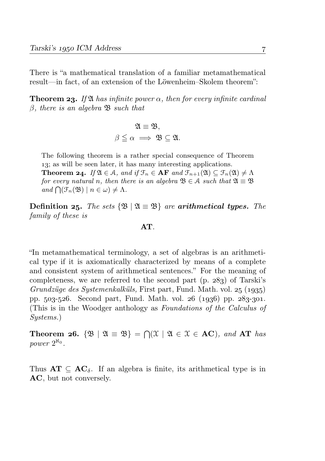There is "a mathematical translation of a familiar metamathematical result—in fact, of an extension of the Löwenheim–Skolem theorem":

**Theorem 23.** If  $\mathfrak{A}$  has infinite power  $\alpha$ , then for every infinite cardinal  $\beta$ , there is an algebra  $\mathfrak{B}$  such that

$$
\mathfrak{A} \equiv \mathfrak{B},
$$

$$
\beta \leq \alpha \implies \mathfrak{B} \subseteq \mathfrak{A}.
$$

The following theorem is a rather special consequence of Theorem 13; as will be seen later, it has many interesting applications. **Theorem 24.** If  $\mathfrak{A} \in \mathcal{A}$ , and if  $\mathfrak{F}_n \in \mathbf{AF}$  and  $\mathfrak{F}_{n+1}(\mathfrak{A}) \subseteq \mathfrak{F}_n(\mathfrak{A}) \neq \Lambda$ for every natural n, then there is an algebra  $\mathfrak{B} \in \mathcal{A}$  such that  $\mathfrak{A} \equiv \mathfrak{B}$ and  $\bigcap (\mathcal{F}_n(\mathfrak{B}) \mid n \in \omega) \neq \Lambda$ .

**Definition 25.** The sets  $\{\mathfrak{B} \mid \mathfrak{A} \equiv \mathfrak{B}\}\$  are **arithmetical types.** The family of these is

### AT.

"In metamathematical terminology, a set of algebras is an arithmetical type if it is axiomatically characterized by means of a complete and consistent system of arithmetical sentences." For the meaning of completeness, we are referred to the second part  $(p. 283)$  of Tarski's Grundzüge des Systemenkalküls, First part, Fund. Math. vol.  $25$  (1935) pp.  $503-526$ . Second part, Fund. Math. vol.  $26$  (1936) pp.  $283-301$ . (This is in the Woodger anthology as Foundations of the Calculus of Systems.)

Theorem 26.  $\{\mathfrak{B} \mid \mathfrak{A} \equiv \mathfrak{B}\} = \bigcap (\mathfrak{X} \mid \mathfrak{A} \in \mathfrak{X} \in \mathbf{AC})$ , and AT has power  $2^{\aleph_0}$ .

Thus  $AT \subseteq AC_{\delta}$ . If an algebra is finite, its arithmetical type is in AC, but not conversely.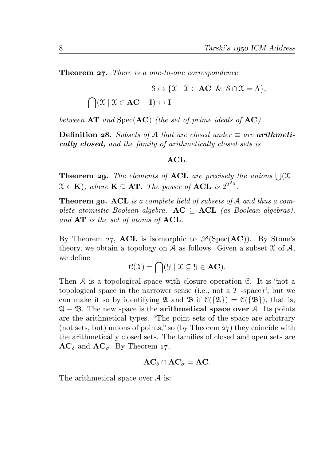**Theorem 27.** There is a one-to-one correspondence

$$
\mathcal{S} \mapsto \{ \mathcal{X} \mid \mathcal{X} \in \mathbf{AC} \& \mathcal{S} \cap \mathcal{X} = \Lambda \},
$$
  

$$
\bigcap (\mathcal{X} \mid \mathcal{X} \in \mathbf{AC} - \mathbf{I}) \leftrightarrow \mathbf{I}
$$

between  $AT$  and  $Spec(AC)$  (the set of prime ideals of  $AC$ ).

Definition 28. Subsets of A that are closed under  $\equiv$  are arithmetically closed, and the family of arithmetically closed sets is

#### ACL.

**Theorem 29.** The elements of **ACL** are precisely the unions  $\bigcup (\mathcal{X})$  $\mathfrak{X} \in \mathbf{K}$ ), where  $\mathbf{K} \subseteq \mathbf{AT}$ . The power of **ACL** is  $2^{2^{\aleph_0}}$ .

**Theorem 30. ACL** is a complete field of subsets of A and thus a complete atomistic Boolean algebra.  $AC \subseteq ACL$  (as Boolean algebras), and  $AT$  is the set of atoms of  $ACL$ .

By Theorem 27, ACL is isomorphic to  $\mathcal{P}(\mathrm{Spec}(AC))$ . By Stone's theory, we obtain a topology on A as follows. Given a subset  $X$  of  $A$ , we define

 $\mathcal{C}(\mathcal{X}) = \bigcap (\mathcal{Y} \mid \mathcal{X} \subseteq \mathcal{Y} \in \mathbf{AC}).$ 

Then  $A$  is a topological space with closure operation  $C$ . It is "not a topological space in the narrower sense (i.e., not a  $T_1$ -space)"; but we can make it so by identifying  $\mathfrak A$  and  $\mathfrak B$  if  $\mathfrak C({\{\mathfrak A\}}) = \mathfrak C({\{\mathfrak B\}})$ , that is,  $\mathfrak{A} \equiv \mathfrak{B}$ . The new space is the **arithmetical space over** A. Its points are the arithmetical types. "The point sets of the space are arbitrary (not sets, but) unions of points," so (by Theorem  $27$ ) they coincide with the arithmetically closed sets. The families of closed and open sets are  $AC_{\delta}$  and  $AC_{\sigma}$ . By Theorem 17,

$$
\mathbf{AC}_{\delta}\cap \mathbf{AC}_{\sigma}=\mathbf{AC}.
$$

The arithmetical space over A is: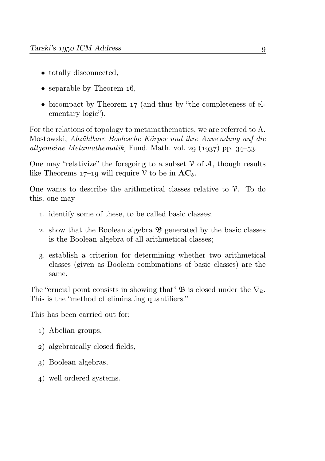- totally disconnected.
- separable by Theorem  $16$ ,
- bicompact by Theorem  $17$  (and thus by "the completeness of elementary logic").

For the relations of topology to metamathematics, we are referred to A. Mostowski, Abzählbare Boolesche Körper und ihre Anwendung auf die allgemeine Metamathematik, Fund. Math. vol. 29  $(1937)$  pp. 34–53.

One may "relativize" the foregoing to a subset  $\mathcal V$  of  $\mathcal A$ , though results like Theorems  $17-19$  will require V to be in  $AC_\delta$ .

One wants to describe the arithmetical classes relative to  $\mathcal{V}$ . To do this, one may

- . identify some of these, to be called basic classes;
- 2. show that the Boolean algebra  $\mathfrak{B}$  generated by the basic classes is the Boolean algebra of all arithmetical classes;
- . establish a criterion for determining whether two arithmetical classes (given as Boolean combinations of basic classes) are the same.

The "crucial point consists in showing that"  $\mathfrak{B}$  is closed under the  $\nabla_k$ . This is the "method of eliminating quantifiers."

This has been carried out for:

- ) Abelian groups,
- ) algebraically closed fields,
- ) Boolean algebras,
- ) well ordered systems.